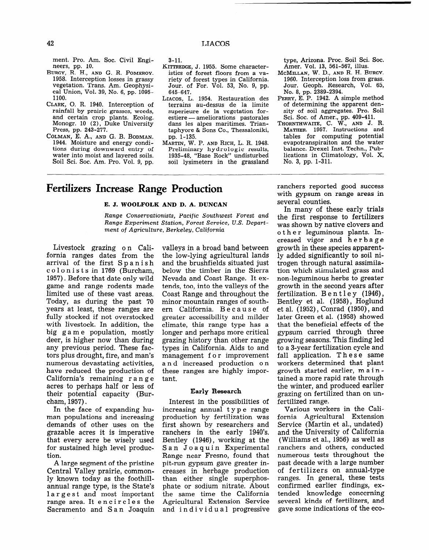# **Fertilizers Increase Range Production**

## **E. J. WOOLFOLK AND D. A. DUNCAN**

*Range Conservationists, Pacific Southwest Forest and Range Experiment Station, Forest Service, U.S. Department of Agriculture, Berkeley, California* 

Livestock grazing on California ranges dates from the arrival of the first Spanish colonists in 1769 (Burcham, 1957). Before that date only wild game and range rodents made limited use of these vast areas. Today, as during the past 70 years at least, these ranges are fully stocked if not overstocked with livestock. In addition, the big g a m e population, mostly deer, is higher now than during any previous period. These factors plus drought, fire, and man's numerous devastating activities, have reduced the production of California's remaining r a n g e acres to perhaps half or less of their potential capacity (Burcham, 1957).

In the face of expanding human populations and increasing demands of other uses on the grazable acres it is imperative that every acre be wisely used for sustained high level production.

A large segment of the pristine Central Valley prairie, commonly known today as the foothillannual range type, is the State's largest and most important range area. It encircles the Sacramento and S an Joaquin valleys in a broad band between the low-lying agricultural lands and the brushfields situated just below the timber in the Sierra Nevada and Coast Range. It extends, too, into the valleys of the Coast Range and throughout the minor mountain ranges of southern California. Because of greater accessibility and milder climate, this range type has a longer and perhaps more critical grazing history than other range types in California. Aids to and management f 0 r improvement a n d increased production o n these ranges are highly important.

# Early Research

Interest in the possibilities of increasing annual t y p e range production by fertilization was first shown by researchers and ranchers in the early 1940's. Bentley (1946), working at the San Joaquin Experimental Range near Fresno, found that pit-run gypsum gave greater increases in herbage production than either single superphosphate or sodium nitrate. About the same time the California Agricultural Extension Service and individual progressive ranchers reported good success with gypsum on range areas in several counties.

In many of these early trials the first response to fertilizers was shown by native clovers and o the r leguminous plants. Increased vigor and her ba g e growth in these species apparently added significantly to soil nitrogen through natural assimilation which stimulated grass and non-leguminous herbs to greater growth in the second years after fertilization. Bentley (1946), Bentley et al. (1958), Hoglund et al. (1952), Conrad (1950), and later Green et al. (1958) showed that the beneficial effects of the gypsum carried through three growing seasons. This finding led to a S-year fertilization cycle and fall application. These same workers determined that plant growth started earlier, m a i n tained a more rapid rate through the winter, and produced earlier grazing on fertilized than on unfertilized range.

Various workers in the California Agricultural Extension Service (Martin et al., undated) and the University of California (Williams et al., 1956) as well as ranchers and others, conducted numerous tests throughout the past decade with a large number of fertilizers on annual-type ranges. In general, these tests confirmed earlier findings, extended knowledge concerning several kinds of fertilizers, and gave some indications of the eco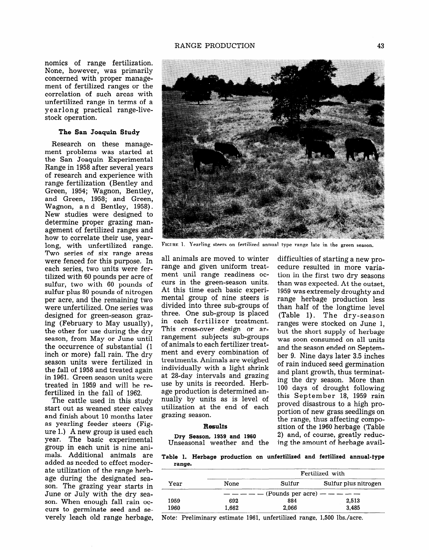nomics of range fertilization. None, however, was primarily concerned with proper management of fertilized ranges or the correlation of such areas with unfertilized range in terms of a yearlong practical range-livestock operation.

# The San Joaquin Study

Research on these management problems was started at the San Joaquin Experimental Range in 1958 after several years of research and experience with range fertilization (Bentley and Green, 1954; Wagnon, Bentley, and Green, 1958; and Green, Wagnon, a n d Bentley, 1958). New studies were designed to determine proper grazing management of fertilized ranges and how to correlate their use, yearlong, with unfertilized range. Two series of six range areas were fenced for this purpose. In each series, two units were fertilized with 60 pounds per acre of sulfur, two with 60 pounds of sulfur plus 80 pounds of nitrogen per acre, and the remaining two were unfertilized. One series was designed for green-season grazing (February to May usually), the other for use during the dry season, from May or June until season, from may or sune until<br>the occurrence of substantial (1 inch or more) fall rain. The dry inch or more) fall rain. The dry<br>season units were fertilized in scasul ulius wele leithized in<br>the fall of 1059 and treated again in 1961. Green see soon uit  $t_{\text{model}}$  in 1969 and will be refertilized in the fall of 1962. fertilized in the fall of 1962.<br>The cattle used in this study

The cattle used in this study start out as weaned steer carves and finish about 10 months later as yearling feeder steers (Fig $ure 1.)$  A new group is used each year. The basic experimental group in each unit is nine animals. Additional animals are added as needed to effect moderate utilization of the range herbage during the designated season. The grazing year starts in June or July with the dry season. When enough fall rain occurs to germinate seed and se-<br>verely leach old range herbage.



**FIGURE 1.** Yearling steers on fertilized annual type range late in the green **season.** 

all animals are moved to winter range and given uniform treatment unil range readiness occurs in the green-season units. At this time each basic experimental group of nine steers is divided into three sub-groups of three. One sub-group is placed in each fertilizer treatment. This cross-over design or arrillis cross-over design or arof animals to each fertilizer treatof animals to each fertilizer treatment and every combination of treatments. Animals are weighed individually with a light shrink at 28-day intervals and grazing. use by units is recorded. Herbage production is determined annually by units as is level of utilization at the end of each<br>grazing season.

#### **Results**

Dry Season, 1959 and 1960

difficulties of starting a new procedure resulted in more variation in the first two dry seasons than was expected. At the outset, 1959 was extremely droughty and range herbage production less than half of the longtime level (Table 1). The dry-season  $\frac{1}{2}$  radic 1,  $\frac{1}{2}$  in  $\frac{1}{2}$  in  $\frac{1}{2}$  in  $\frac{1}{2}$ but the short supply of her the supply of her but the short supply of her bage was soon consumed on all units and the season ended on September 9. Nine days later 3.5 inches of rain induced seed germination and plant growth, thus terminating the dry season. More than 100 days of drought following this September 18, 1959 rain proved disastrous to a high proportion of new grass seedlings on the range, thus affecting composition of the 1960 herbage (Table 2) and, of course, greatly reduc-<br>ing the amount of herbage avail-

**Table 1. Herbage production on unfertilized and fertilized annual-type range.** 

| ------ |       |                         |                      |  |  |  |
|--------|-------|-------------------------|----------------------|--|--|--|
| Year   |       | Fertilized with         |                      |  |  |  |
|        | None  | Sulfur                  | Sulfur plus nitrogen |  |  |  |
|        |       | (Pounds per acre) $  -$ |                      |  |  |  |
| 1959   | 692   | 884                     | 2,513                |  |  |  |
| 1960   | 1,662 | 2.066                   | 3,485                |  |  |  |
|        |       |                         |                      |  |  |  |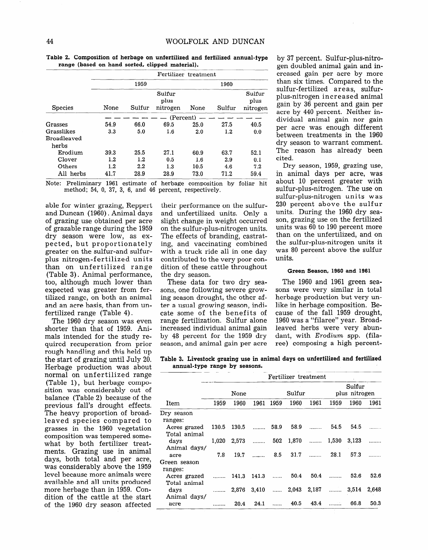| <b>Species</b>     | Fertilizer treatment |        |                            |      |                            |      |  |  |  |
|--------------------|----------------------|--------|----------------------------|------|----------------------------|------|--|--|--|
|                    |                      | 1959   |                            | 1960 |                            |      |  |  |  |
|                    | None                 | Sulfur | Sulfur<br>plus<br>nitrogen | None | Sulfur<br>plus<br>nitrogen |      |  |  |  |
|                    |                      |        |                            |      |                            |      |  |  |  |
| Grasses            | 54.9                 | 66.0   | 69.5                       | 25.0 | 27.5                       | 40.5 |  |  |  |
| Grasslikes         | 3.3                  | 5.0    | $1.6\,$                    | 2.0  | 1.2                        | 0.0  |  |  |  |
| <b>Broadleaved</b> |                      |        |                            |      |                            |      |  |  |  |
| herbs              |                      |        |                            |      |                            |      |  |  |  |
| Erodium            | 39.3                 | 25.5   | 27.1                       | 60.9 | 63.7                       | 52.1 |  |  |  |
| Clover             | 1.2                  | 1.2    | 0.5                        | 1.6  | 2.9                        | 0.1  |  |  |  |
| Others             | 1.2                  | 2.2    | 1.3                        | 10.5 | 4.6                        | 7.2  |  |  |  |
| All herbs          | 41.7                 | 28.9   | 28.9                       | 73.0 | 71.2                       | 59.4 |  |  |  |

Table 2. Composifion of herbage on unfertilized and fertilized annual-type range (based on hand sorted, clipped material).

Note: Preliminary 1961 estimate of herbage composition by foliar hit method; 54, 0, 37, 3, 6, and 46 percent, respectively.

able for winter grazing, Reppert and Duncan (1960). Animal days of grazing use obtained per acre of grazable range during the 1959 dry season were low, as expected, but proportionately greater on the sulfur-and sulfurplus nitrogen-fertilized units than on unfertilized range (Table 3) . Animal performance, too, although much lower than expected was greater from fertilized range, on both an animal and an acre basis, than from unfertilized range (Table 4) .

The 1960 dry season was even shorter than that of 1959. Animals intended for the study required recuperation from prior rough handling and this held up the start of grazing until July 20. Herbage production was about normal on unfertilized range (Table 1), but herbage composition was considerably out of balance (Table 2) because of the previous fall's drought effects. The heavy proportion of broadleaved species compared to grasses in the 1960 vegetation composition was tempered somewhat by both fertilizer treatments. Grazing use in animal days, both total and per acre, was considerably above the 1959 level because more animals were available and all units produced more herbage than in 1959. Condition of the cattle at the start of the 1960 dry season affected

their performance on the sulfurand unfertilized units. Only a slight change in weight occurred on the sulfur-plus-nitrogen units. The effects of branding, castrating, and vaccinating combined with a truck ride all in one day contributed to the very poor condition of these cattle throughout the dry season.

sons, one following severe grow- sons were very similar in total ing season drought, the other af- herbage production but very unter a usual growing season, indi- like in herbage composition. Becate some of the benefits of cause of the fall 1959 drought, range fertilization. Sulfur alone 1960 was a "filaree" year. Broadincreased individual animal gain leaved herbs were very abunby 48 percent for the 1959 dry dant, with Erodium spp. (filaseason, and animal gain per acre ree) composing a high percent-

by 37 percent. Sulfur-plus-nitrogen doubled animal gain and increased gain per acre by more than six times. Compared to the sulfur-fertilized areas, sulfurplus-nitrogen increased animal gain by 36 percent and gain per acre by 440 percent. Neither individual animal gain nor gain per acre was enough different between treatments in the 1960 dry season to warrant comment. The reason has already been cited.

Dry season, 1959, grazing use, in animal days per acre, was about 10 percent greater with sulfur-plus-nitrogen. The use on sulfur-plus-nitrogen units was 230 percent above the sulfur units. During the 1960 dry season, grazing use on the fertilized units was 60 to 190 percent more than on the unfertilized, and on the sulfur-plus-nitrogen units it was 80 percent above the sulfur units.

#### Green Season, 1960 and 1961

These data for two dry sea- The 1960 and 1961 green sea-

Table 3. Livestock grazing use in animal days on unfertilized and fertilized annual-type range by seasons.

|                              | Fertilizer treatment |       |                 |                |       |                 |                         |       |       |
|------------------------------|----------------------|-------|-----------------|----------------|-------|-----------------|-------------------------|-------|-------|
| Item                         | None                 |       |                 | Sulfur         |       |                 | Sulfur<br>plus nitrogen |       |       |
|                              | 1959                 | 1960  | 1961            | 1959           | 1960  | 1961            | 1959                    | 1960  | 1961  |
| Dry season<br>ranges:        |                      |       |                 |                |       |                 |                         |       |       |
| Acres grazed<br>Total animal | 130.5                | 130.5 | <b>Concerte</b> | 58.9           | 58.9  | <b>Contract</b> | 54.5                    | 54.5  |       |
| days<br>Animal days/         | 1,020                | 2,573 | .               | 502            |       | $1,870$         | 1,530                   | 3.123 |       |
| acre                         | 7.8                  | 19.7  | $\cdots$        | 8.5            | 31.7  | المستنب         | 28.1                    | 57.3  |       |
| Green season<br>ranges:      |                      |       |                 |                |       |                 |                         |       |       |
| Acres grazed<br>Total animal |                      | 141.3 | 141.3           | $\overline{1}$ | 50.4  | 50.4            |                         | 52.6  | 52.6  |
| days<br>Animal days/         | .                    | 2,876 | 3.410           |                | 2,043 | $2,187$         |                         | 3.514 | 2.648 |
| acre                         |                      | 20.4  | 24.1            | $\frac{1}{2}$  | 40.5  | 43.4            | .                       | 66.8  | 50.3  |